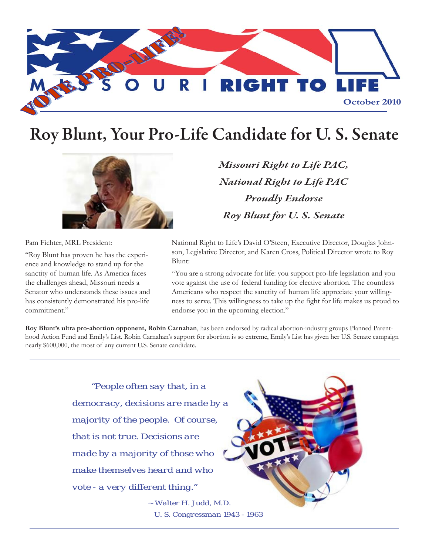

# Roy Blunt, Your Pro-Life Candidate for U. S. Senate



Pam Fichter, MRL President:

"Roy Blunt has proven he has the experience and knowledge to stand up for the sanctity of human life. As America faces the challenges ahead, Missouri needs a Senator who understands these issues and has consistently demonstrated his pro-life commitment."

*Missouri Right to Life PAC, National Right to Life PAC Proudly Endorse Roy Blunt for U. S. Senate*

National Right to Life's David O'Steen, Executive Director, Douglas Johnson, Legislative Director, and Karen Cross, Political Director wrote to Roy Blunt:

"You are a strong advocate for life: you support pro-life legislation and you vote against the use of federal funding for elective abortion. The countless Americans who respect the sanctity of human life appreciate your willingness to serve. This willingness to take up the fight for life makes us proud to endorse you in the upcoming election."

**Roy Blunt's ultra pro-abortion opponent, Robin Carnahan**, has been endorsed by radical abortion-industry groups Planned Parenthood Action Fund and Emily's List. Robin Carnahan's support for abortion is so extreme, Emily's List has given her U.S. Senate campaign nearly \$600,000, the most of any current U.S. Senate candidate.

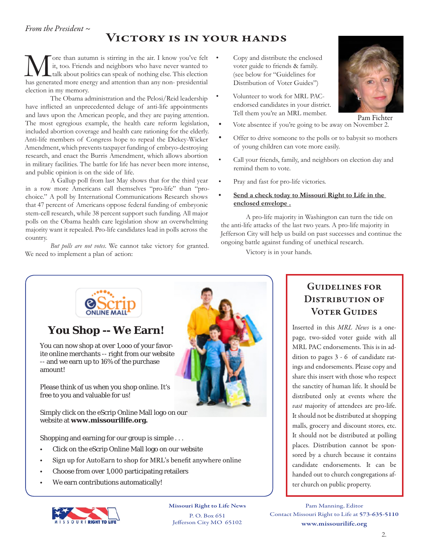## Victory is in your hands

More than autumn is stirring in the air. I know you've felt it, too. Friends and neighbors who have never wanted to has generated more energy and attention than any non-presidential it, too. Friends and neighbors who have never wanted to talk about politics can speak of nothing else. This election has generated more energy and attention than any non- presidential election in my memory. Figure than autumn is stirring in the air. I know you've felt • Copy and distribute the enclosed

The Obama administration and the Pelosi/Reid leadership have inflicted an unprecedented deluge of anti-life appointments and laws upon the American people, and they are paying attention. The most egregious example, the health care reform legislation, included abortion coverage and health care rationing for the elderly. Anti-life members of Congress hope to repeal the Dickey-Wicker Amendment, which prevents taxpayer funding of embryo-destroying research, and enact the Burris Amendment, which allows abortion in military facilities. The battle for life has never been more intense, and public opinion is on the side of life.

A Gallup poll from last May shows that for the third year in a row more Americans call themselves "pro-life" than "prochoice." A poll by International Communications Research shows that 47 percent of Americans oppose federal funding of embryonic stem-cell research, while 38 percent support such funding. All major polls on the Obama health care legislation show an overwhelming majority want it repealed. Pro-life candidates lead in polls across the country.

*But polls are not votes*. We cannot take victory for granted. We need to implement a plan of action:

- voter guide to friends & family. (see below for "Guidelines for Distribution of Voter Guides")
- Volunteer to work for MRL PACendorsed candidates in your district. Tell them you're an MRL member.
- Vote absentee if you're going to be away on November 2.
- Offer to drive someone to the polls or to babysit so mothers of young children can vote more easily.
- Call your friends, family, and neighbors on election day and remind them to vote.
- Pray and fast for pro-life victories.
- **<u>Send a check today to Missouri Right to Life in the</u> enclosed envelope .**

A pro-life majority in Washington can turn the tide on the anti-life attacks of the last two years. A pro-life majority in Jefferson City will help us build on past successes and continue the ongoing battle against funding of unethical research.

Victory is in your hands.



Missouri Right to Life News

P. O. Box 651 Jefferson City MO 65102

### Guidelines for DISTRIBUTION OF **VOTER GUIDES**

Inserted in this *MRL News* is a onepage, two-sided voter guide with all MRL PAC endorsements. This is in addition to pages 3 - 6 of candidate ratings and endorsements. Please copy and share this insert with those who respect the sanctity of human life. It should be distributed only at events where the *vast* majority of attendees are pro-life. It should not be distributed at shopping malls, grocery and discount stores, etc. It should not be distributed at polling places. Distribution cannot be sponsored by a church because it contains candidate endorsements. It can be handed out to church congregations after church on public property.

Pam Manning, Editor Contact Missouri Right to Life at 573-635-5110 www.missourilife.org



2.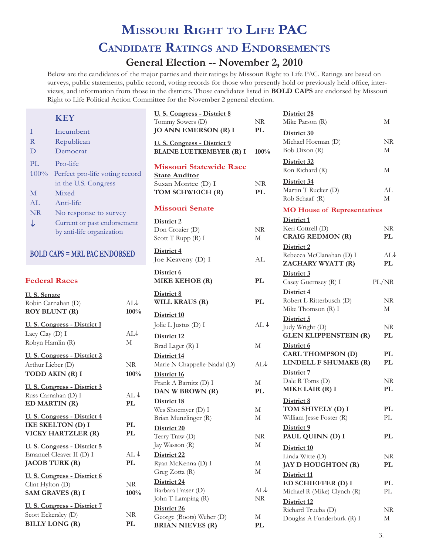# **Missouri Right to Life PAC Candidate Ratings and Endorsements**

## **General Election -- November 2, 2010**

Below are the candidates of the major parties and their ratings by Missouri Right to Life PAC. Ratings are based on surveys, public statements, public record, voting records for those who presently hold or previously held office, interviews, and information from those in the districts. Those candidates listed in **BOLD CAPS** are endorsed by Missouri Right to Life Political Action Committee for the November 2 general election.

**Billy Long (R) PL**

| <b>KEY</b>                                                                       |                       | U. S. Congress - District 8<br>Tommy Sowers (D)                                               | $\rm NR$          | District 28<br>Mike Parson (R)                                   | М                                     |
|----------------------------------------------------------------------------------|-----------------------|-----------------------------------------------------------------------------------------------|-------------------|------------------------------------------------------------------|---------------------------------------|
| Ι<br>Incumbent<br>Republican<br>$\mathbf R$<br>Democrat<br>$\mathbf D$           |                       | <b>JO ANN EMERSON (R) I</b><br>U. S. Congress - District 9<br><b>BLAINE LUETKEMEYER (R) I</b> | PL<br>100%        | District 30<br>Michael Hoeman (D)<br>Bob Dixon (R)               | NR<br>М                               |
| PL<br>Pro-life<br>100%<br>Perfect pro-life voting record                         |                       | <b>Missouri Statewide Race</b><br><b>State Auditor</b>                                        |                   | District 32<br>Ron Richard (R)                                   | М                                     |
| in the U.S. Congress<br>Mixed<br>$\mathbf M$                                     |                       | Susan Montee (D) I<br>TOM SCHWEICH (R)                                                        | NR<br>PL          | District 34<br>Martin T Rucker (D)<br>Rob Schaaf (R)             | AL<br>M                               |
| AL<br>Anti-life<br>NR<br>No response to survey                                   |                       | <b>Missouri Senate</b>                                                                        |                   | <b>MO House of Representatives</b>                               |                                       |
| ↓<br>Current or past endorsement<br>by anti-life organization                    |                       | District 2<br>Don Crozier (D)<br>Scott T Rupp (R) I                                           | <b>NR</b><br>М    | District 1<br>Keri Cottrell (D)<br><b>CRAIG REDMON (R)</b>       | NR<br>PL                              |
| <b>BOLD CAPS = MRL PAC ENDORSED</b>                                              |                       | District 4<br>Joe Keaveny (D) I                                                               | AL                | District 2<br>Rebecca McClanahan (D) I<br>ZACHARY WYATT (R)      | AL.<br><b>PL</b>                      |
| <b>Federal Races</b>                                                             |                       | District 6<br><b>MIKE KEHOE (R)</b>                                                           | PL                | District 3<br>Casey Guernsey (R) I                               | PL/NR                                 |
| U.S. Senate<br>Robin Carnahan (D)<br><b>ROY BLUNT (R)</b>                        | ALJ<br>100%           | District 8<br>WILL KRAUS (R)                                                                  | $\mathbf{PL}$     | District 4<br>Robert L Ritterbusch (D)<br>Mike Thomson (R) I     | NR<br>М                               |
| U. S. Congress - District 1<br>Lacy Clay (D) I                                   | $AL\downarrow$        | District 10<br>Jolie L Justus (D) I<br>District 12                                            | $AL \downarrow$   | District 5<br>Judy Wright (D)<br><b>GLEN KLIPPENSTEIN (R)</b>    | NR<br>PL                              |
| Robyn Hamlin (R)                                                                 | M                     | Brad Lager (R) I                                                                              | $\mathbf M$       | District 6                                                       |                                       |
| U. S. Congress - District 2<br>Arthur Lieber (D)                                 | <b>NR</b>             | District 14<br>Marie N Chappelle-Nadal (D)                                                    | ALJ               | <b>CARL THOMPSON (D)</b><br>LINDELL F SHUMAKE (R)                | <b>PL</b><br>PL                       |
| TODD AKIN (R) I<br>U. S. Congress - District 3                                   | 100%                  | District 16<br>Frank A Barnitz (D) I                                                          | М                 | District 7<br>Dale R Toms (D)                                    | NR                                    |
| Russ Carnahan (D) I<br>ED MARTIN (R)                                             | $AL \downarrow$<br>PL | DAN W BROWN (R)<br>District 18                                                                | PL                | MIKE LAIR (R) I<br>District 8                                    | PL                                    |
| U. S. Congress - District 4<br><b>IKE SKELTON (D) I</b>                          | PL                    | Wes Shoemyer (D) I<br>Brian Munzlinger (R)                                                    | М<br>М            | TOM SHIVELY (D) I<br>William Jesse Foster (R)                    | PL<br>$\ensuremath{\text{PL}}\xspace$ |
| VICKY HARTZLER (R)                                                               | PL                    | District 20<br>Terry Traw (D)                                                                 | $\rm NR$          | District 9<br>PAUL QUINN (D) I                                   | PL                                    |
| U. S. Congress - District 5<br>Emanuel Cleaver II (D) I<br><b>JACOB TURK (R)</b> | AL $\downarrow$<br>PL | Jay Wasson (R)<br>District 22<br>Ryan McKenna (D) I                                           | $\mathbf M$<br>М  | District 10<br>Linda Witte (D)<br>JAY D HOUGHTON (R)             | NR<br>PL                              |
| U. S. Congress - District 6<br>Clint Hylton (D)<br>SAM GRAVES (R) I              | NR<br>100%            | Greg Zotta (R)<br>District 24<br>Barbara Fraser (D)                                           | M<br>AL↓          | District 11<br>ED SCHIEFFER (D) I<br>Michael R (Mike) Clynch (R) | PL<br>PL                              |
| U.S. Congress - District 7<br>Scott Eckersley (D)                                | NR                    | John T Lamping (R)<br>District 26<br>George (Boots) Weber (D)                                 | NR<br>$\mathbf M$ | District 12<br>Richard Trueba (D)<br>Douglas A Funderburk (R) I  | NR<br>M                               |

**Brian Nieves (R) PL**

 $ALJ$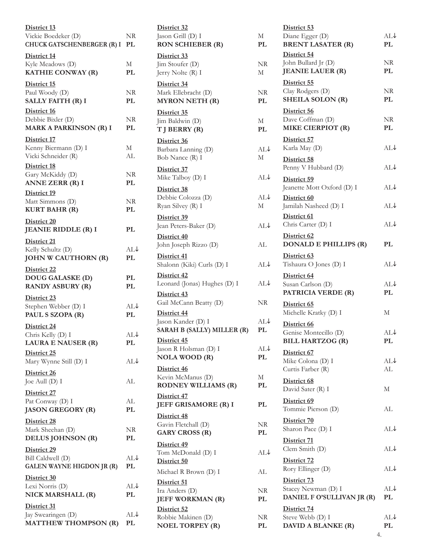| District 13<br>Vickie Boedeker (D)<br><b>CHUCK GATSCHENBERGER (R) I</b> | NR<br>PL             | District 32<br>Jason Grill (D) I<br><b>RON SCHIEBER (R)</b>                | М<br>PL   |
|-------------------------------------------------------------------------|----------------------|----------------------------------------------------------------------------|-----------|
| District 14<br>Kyle Meadows (D)<br>KATHIE CONWAY (R)                    | М<br>PL              | District 33<br>Jim Stoufer (D)<br>Jerry Nolte (R) I                        | NR<br>М   |
| District 15<br>Paul Woody (D)<br><b>SALLY FAITH (R) I</b>               | NR.<br>PL            | District 34<br>Mark Ellebracht (D)<br><b>MYRON NETH (R)</b>                | NR<br>PL  |
| District 16<br>Debbie Bixler (D)<br><b>MARK A PARKINSON (R) I</b>       | NR<br>PL             | District 35<br>Jim Baldwin (D)<br>T J BERRY (R)                            | М<br>PL   |
| District 17<br>Kenny Biermann (D) I<br>Vicki Schneider (R)              | М<br>AL              | District 36<br>Barbara Lanning (D)<br>Bob Nance (R) I                      | AL<br>М   |
| District 18<br>Gary McKiddy (D)<br>ANNE ZERR (R) I                      | NR<br>PL             | District 37<br>Mike Talboy (D) I                                           | AL        |
| District 19<br>Matt Simmons (D)<br><b>KURT BAHR (R)</b>                 | NR.<br>PL            | District 38<br>Debbie Colozza (D)<br>Ryan Silvey (R) I                     | AL<br>М   |
| District 20<br><b>JEANIE RIDDLE (R) I</b>                               | PL                   | District 39<br>Jean Peters-Baker (D)                                       | AL        |
| District 21<br>Kelly Schultz (D)<br><b>JOHN W CAUTHORN (R)</b>          | $AL\downarrow$<br>PL | District 40<br>John Joseph Rizzo (D)<br>District 41                        | AL        |
| District 22<br>DOUG GALASKE (D)<br><b>RANDY ASBURY (R)</b>              | PL.<br>PL            | Shalonn (Kiki) Curls (D) I<br>District 42<br>Leonard (Jonas) Hughes (D) I  | AL<br>AL  |
| District 23<br>Stephen Webber (D) I<br>PAUL S SZOPA (R)                 | $AL\downarrow$<br>PL | District 43<br>Gail McCann Beatty (D)<br>District 44<br>Jason Kander (D) I | NR<br>AL  |
| District 24<br>Chris Kelly (D) I<br><b>LAURA E NAUSER (R)</b>           | AL↓<br>PL            | SARAH B (SALLY) MILLER (R)<br>District 45                                  | PL        |
| District 25<br>Mary Wynne Still (D) I                                   | $AL\downarrow$       | Jason R Holsman (D) I<br><b>NOLA WOOD (R)</b>                              | AL<br>PL  |
| District 26<br>Joe Aull (D) I                                           | AL                   | District 46<br>Kevin McManus (D)<br><b>RODNEY WILLIAMS (R)</b>             | М<br>PL   |
| District 27<br>Pat Conway (D) I<br><b>JASON GREGORY (R)</b>             | AL<br>PL             | District 47<br>JEFF GRISAMORE (R) I                                        | PL        |
| District 28<br>Mark Sheehan (D)<br>DELUS JOHNSON (R)                    | NR<br>PL             | District 48<br>Gavin Fletchall (D)<br><b>GARY CROSS (R)</b>                | NR<br>PL  |
| District 29<br>Bill Caldwell (D)<br><b>GALEN WAYNE HIGDON JR (R)</b>    | $AL\downarrow$<br>PL | District 49<br>Tom McDonald (D) I<br>District 50                           | AL        |
| District 30<br>Lexi Norris (D)                                          | AL↓                  | Michael R Brown (D) I<br>District 51<br>Ira Anders (D)                     | AL<br>NR  |
| NICK MARSHALL (R)<br>District 31                                        | PL                   | <b>JEFF WORKMAN (R)</b><br>District 52                                     | PL        |
| Jay Swearingen (D)<br><b>MATTHEW THOMPSON (R)</b>                       | $AL\downarrow$<br>PL | Robbie Makinen (D)<br><b>NOEL TORPEY (R)</b>                               | NR<br>PL. |

| JR<br>Ł      | District 32<br>Jason Grill (D) I<br><b>RON SCHIEBER (R)</b>     | М<br>PL     | Di<br>$\rm{Di}$<br>Bl                          |
|--------------|-----------------------------------------------------------------|-------------|------------------------------------------------|
| 4<br>Ł       | District 33<br>Jim Stoufer (D)<br>Jerry Nolte (R) I             | NR<br>М     | Di<br>Jol<br>JE                                |
| JR<br>L      | District 34<br>Mark Ellebracht (D)<br><b>MYRON NETH (R)</b>     | NR.<br>PL   | $\mathbf{D}$ i<br>Cl <sub>i</sub><br><b>SF</b> |
| JR<br>L      | District 35<br>Jim Baldwin (D)<br>T J BERRY (R)                 | М<br>PL     | Di<br>$D_i$<br>M                               |
| 4<br>ιL      | District 36<br>Barbara Lanning (D)<br>Bob Nance (R) I           | AL↓<br>М    | Di<br>K<br>Di                                  |
| JR           | District 37<br>Mike Talboy (D) I                                | AL↓         | Pe<br><u>Di</u>                                |
| L<br>JR<br>L | District 38<br>Debbie Colozza (D)<br>Ryan Silvey (R) I          | AL↓<br>М    | $\int e^z$<br>Di<br>Jar                        |
| L            | District 39<br>Jean Peters-Baker (D)<br>District 40             | AL <b>↓</b> | <u>Di</u><br>Cŀ<br>Di                          |
| ւT↑<br>Ł     | John Joseph Rizzo (D)<br>District 41                            | AL          | $\mathbf{D}$<br><u>Di</u>                      |
|              | Shalonn (Kiki) Curls (D) I<br>District 42                       | AL↓         | Ti:<br>Di                                      |
| L<br>L       | Leonard (Jonas) Hughes (D) I<br>District 43                     | AL↓         | Su<br><b>PA</b>                                |
| ιT↑          | Gail McCann Beatty (D)                                          | <b>NR</b>   | <u>Di</u>                                      |
| L<br>ւ⊺↑     | District 44<br>Jason Kander (D) I<br>SARAH B (SALLY) MILLER (R) | AL↓<br>PL   | Mi<br><u>Di</u><br>G6                          |
| L            | District 45<br>Jason R Holsman (D) I<br><b>NOLA WOOD</b> (R)    | AL↓<br>PL   | BI<br>Di<br>Mi                                 |
| ւT↑<br>ΛL    | District 46<br>Kevin McManus (D)<br><b>RODNEY WILLIAMS (R)</b>  | М<br>PL     | C <sub>U</sub><br><u>Di</u>                    |
| ΛL.<br>L     | District 47<br>JEFF GRISAMORE (R) I                             | PL          | $D_i$<br>Di<br>To                              |
| JR<br>L      | District 48<br>Gavin Fletchall (D)<br><b>GARY CROSS (R)</b>     | NR.<br>PL   | <u>Di</u><br>Sh                                |
| ιT↑          | District 49<br>Tom McDonald (D) I<br>District 50                | AL↓         | <u>Di</u><br><b>C</b><br><u>Di</u>             |
| L            | Michael R Brown (D) I                                           | AL          | Rc<br><u>Di</u>                                |
| ιT↑<br>L     | District 51<br>Ira Anders (D)<br><b>JEFF WORKMAN (R)</b>        | NR.<br>PL   | Sta<br>$\mathbf{D}$                            |
| ιT↑<br>L     | District 52<br>Robbie Makinen (D)<br><b>NOEL TORPEY (R)</b>     | NR.<br>PL   | <u>Di</u><br>Ste<br>$\mathbf{D}_{\ell}$        |
|              |                                                                 |             |                                                |

| District 53                                                      |                      |
|------------------------------------------------------------------|----------------------|
| Diane Egger (D)<br><b>BRENT LASATER (R)</b>                      | $AL\downarrow$<br>PL |
| District 54<br>John Bullard Jr (D)<br><b>JEANIE LAUER (R)</b>    | NR<br>PL             |
| District 55<br>Clay Rodgers (D)<br><b>SHEILA SOLON (R)</b>       | NR<br>PL             |
| District 56<br>Dave Coffman (D)<br>MIKE CIERPIOT (R)             | NR<br>PL             |
| District 57<br>Karla May (D)                                     | $AL\downarrow$       |
| District 58<br>Penny V Hubbard (D)                               | $AL\downarrow$       |
| District 59<br>Jeanette Mott Oxford (D) I                        | $AL\downarrow$       |
| District 60<br>Jamilah Nasheed (D) I                             | $AL\downarrow$       |
| District 61<br>Chris Carter (D) I                                | AL↓                  |
| District 62<br><b>DONALD E PHILLIPS (R)</b>                      | PL.                  |
| District 63<br>Tishaura O Jones (D) I                            | $AL\downarrow$       |
| District 64<br>Susan Carlson (D)<br>PATRICIA VERDE (R)           | $AL\downarrow$<br>PL |
| District 65<br>Michelle Kratky (D) I                             | М                    |
| District 66<br>Genise Montecillo (D)<br><b>BILL HARTZOG (R)</b>  | $AL\downarrow$<br>PL |
| District 67<br>Mike Colona (D) I<br>Curtis Farber (R)            | AL↓<br>AL            |
| District 68<br>David Sater (R) I                                 | М                    |
| District 69<br>Tommie Pierson (D)                                | AL                   |
| District 70<br>Sharon Pace (D) I                                 | AL↓                  |
| District 71<br>Clem Smith (D)                                    | $AL\downarrow$       |
| District 72<br>Rory Ellinger (D)                                 | AL↓                  |
| District 73<br>Stacey Newman (D) I<br>DANIEL F O'SULLIVAN JR (R) | AL↓<br>PL            |
| District 74                                                      |                      |
| Steve Webb (D) I<br>DAVID A BLANKE (R)                           | AL↓<br>PL<br>4.      |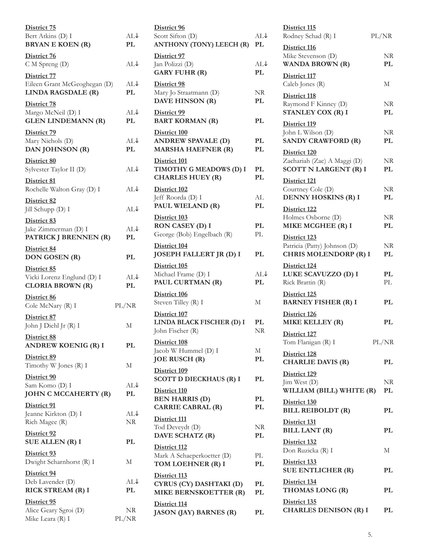| District 75                                                          |                      |
|----------------------------------------------------------------------|----------------------|
| Bert Atkins (D) I<br><b>BRYAN E KOEN (R)</b>                         | $AL\downarrow$<br>PL |
| District 76<br>C M Spreng (D)                                        | AL↓                  |
| District 77<br>Eileen Grant McGeoghegan (D)<br>LINDA RAGSDALE (R)    | AL↓<br>PL            |
| District 78<br>Margo McNeil (D) I<br><b>GLEN LINDEMANN (R)</b>       | AL↓<br>PL            |
| District 79<br>Mary Nichols (D)<br>DAN JOHNSON (R)                   | AL↓<br>PL            |
| District 80<br>Sylvester Taylor II (D)                               | AL↓                  |
| District 81<br>Rochelle Walton Gray (D) I                            | AL↓                  |
| District 82<br>Jill Schupp (D) I                                     | $AL\downarrow$       |
| District 83<br>Jake Zimmerman (D) I<br>PATRICK J BRENNEN (R)         | AL↓<br>PL            |
| District 84<br><b>DON GOSEN (R)</b>                                  | PL                   |
| District 85<br>Vicki Lorenz Englund (D) I<br><b>CLORIA BROWN (R)</b> | AL↓<br>PL            |
| District 86<br>Cole McNary (R) I                                     | PL/NR                |
| District 87<br>John J Diehl Jr (R) I                                 | М                    |
| District 88<br><b>ANDREW KOENIG (R) I</b>                            | PL                   |
| District 89<br>Timothy W Jones (R) I                                 | М                    |
| District 90<br>Sam Komo (D) I<br>JOHN C MCCAHERTY (R)                | AL↓<br>PL            |
| District 91<br>Jeanne Kirkton (D) I                                  |                      |
| Rich Magee (R)                                                       | AL↓<br><b>NR</b>     |
| District 92<br>SUE ALLEN (R) I                                       | PL                   |
| District 93<br>Dwight Scharnhorst (R) I                              | М                    |
| District 94<br>Deb Lavender (D)<br>RICK STREAM (R) I                 | AL↓<br>PL            |

| District 96<br>Scott Sifton (D)<br><b>ANTHONY (TONY) LEECH (R)</b>      | $AL\downarrow$<br>PL |
|-------------------------------------------------------------------------|----------------------|
| District 97<br>Jan Polizzi (D)<br><b>GARY FUHR (R)</b>                  | AL↓<br>PL            |
| District 98<br>Mary Jo Straatmann (D)<br>DAVE HINSON (R)                | NR<br>PL             |
| District 99<br><b>BART KORMAN (R)</b>                                   | PL                   |
| District 100<br><b>ANDREW SPAVALE (D)</b><br><b>MARSHA HAEFNER (R)</b>  | PL<br>PL             |
| District 101<br>TIMOTHY G MEADOWS (D) I<br><b>CHARLES HUEY (R)</b>      | PL<br>PL             |
| District 102<br>Jeff Roorda (D) I<br>PAUL WIELAND (R)                   | AL<br>PL             |
| District 103<br>RON CASEY (D) I<br>George (Bob) Engelbach (R)           | PL<br>PL             |
| District 104<br>JOSEPH FALLERT JR (D) I                                 | PL                   |
| District 105<br>Michael Frame (D) I<br>PAUL CURTMAN (R)                 | AL↓<br>PL            |
| District 106<br>Steven Tilley (R) I                                     | М                    |
| District 107<br>LINDA BLACK FISCHER (D) I<br>John Fischer (R)           | PL<br>NR             |
| District 108<br>Jacob W Hummel (D) I<br><b>JOE RUSCH (R)</b>            | М<br>PL              |
| District 109<br><b>SCOTT D DIECKHAUS (R) I</b>                          | PL                   |
| District 110<br><b>BEN HARRIS (D)</b><br><b>CARRIE CABRAL (R)</b>       | PL<br>PL             |
| District 111<br>Tod Deveydt (D)<br>DAVE SCHATZ (R)                      | NR<br>PL             |
| District 112<br>Mark A Schaeperkoetter (D)<br>TOM LOEHNER (R) I         | PL<br>PL             |
| District 113<br>CYRUS (CY) DASHTAKI (D)<br><b>MIKE BERNSKOETTER (R)</b> | PL<br>PL             |
| <u>District 114</u><br><b>JASON (JAY) BARNES (R)</b>                    | PL                   |
|                                                                         |                      |

| District 115<br>Rodney Schad (R) I                                           | PL/NR    |
|------------------------------------------------------------------------------|----------|
| District 116<br>Mike Stevenson (D)<br><b>WANDA BROWN (R)</b>                 | NR<br>PL |
| District 117<br>Caleb Jones (R)                                              | М        |
| District 118<br>Raymond F Kinney (D)<br>STANLEY COX (R) I                    | NR<br>PL |
| District 119<br>John L Wilson (D)<br><b>SANDY CRAWFORD (R)</b>               | NR<br>PL |
| District 120<br>Zachariah (Zac) A Maggi (D)<br><b>SCOTT N LARGENT (R) I</b>  | NR<br>PL |
| District 121<br>Courtney Cole (D)<br>DENNY HOSKINS (R) I                     | NR<br>PL |
| District 122<br>Holmes Osborne (D)<br>MIKE MCGHEE (R) I                      | NR<br>PL |
| District 123<br>Patricia (Patty) Johnson (D)<br><b>CHRIS MOLENDORP (R) I</b> | NR<br>PL |
| District 124<br>LUKE SCAVUZZO (D) I<br>Rick Brattin (R)                      | PL<br>PL |
| District 125<br><b>BARNEY FISHER (R) I</b>                                   | PL       |
| District 126<br><b>MIKE KELLEY (R)</b>                                       | PL       |
| District 127<br>Tom Flanigan (R) I                                           | PL/NR    |
| District 128<br><b>CHARLIE DAVIS (R)</b>                                     | PL       |
| District 129<br>Jim West (D)                                                 | NR       |
| WILLIAM (BILL) WHITE (R)<br>District 130                                     | PL       |
| <b>BILL REIBOLDT</b> (R)                                                     | PL       |
| District 131<br><b>BILL LANT (R)</b>                                         | PL       |
| District 132<br>Don Ruzicka (R) I                                            | М        |
| District 133<br><b>SUE ENTLICHER (R)</b>                                     | PL       |
| District 134<br>THOMAS LONG (R)                                              | PL       |
| District 135<br><b>CHARLES DENISON (R) I</b>                                 | PL       |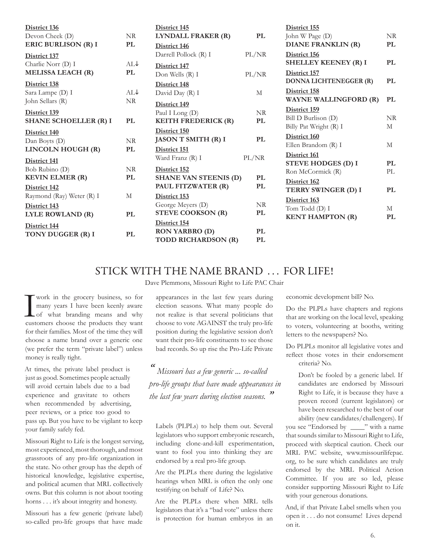| District 136<br>Devon Cheek (D)                                  | NR.              | District 145<br>LYNDALL FRAKER (R)                                  | PL          |
|------------------------------------------------------------------|------------------|---------------------------------------------------------------------|-------------|
| <b>ERIC BURLISON (R) I</b><br>District 137                       | <b>PL</b>        | District 146<br>Darrell Pollock (R) I                               | PL/NR       |
| Charlie Norr (D) I<br><b>MELISSA LEACH (R)</b>                   | ATJ<br><b>PL</b> | District 147<br>Don Wells (R) I                                     | PL/NR       |
| District 138<br>Sara Lampe (D) I                                 | AIJ<br>NR        | District 148<br>David Day (R) I                                     | M           |
| John Sellars (R)<br>District 139<br><b>SHANE SCHOELLER (R) I</b> | PL               | District 149<br>Paul I Long (D)<br><b>KEITH FREDERICK (R)</b>       | NR.<br>PL   |
| District 140<br>Dan Boyts (D)<br>LINCOLN HOUGH (R)               | NR<br>PL         | District 150<br><b>JASON T SMITH (R) I</b><br>District 151          | PL          |
| District 141<br>Bob Rubino (D)<br><b>KEVIN ELMER (R)</b>         | NR.<br>PL        | Ward Franz (R) I<br>District 152<br><b>SHANE VAN STEENIS (D)</b>    | PL/NR<br>PL |
| District 142<br>Raymond (Ray) Weter (R) I                        | M                | PAUL FITZWATER (R)<br>District 153                                  | PL          |
| District 143<br>LYLE ROWLAND (R)                                 | PL               | George Meyers (D)<br><b>STEVE COOKSON (R)</b>                       | NR.<br>PL   |
| District 144<br>TONY DUGGER (R) I                                | PL               | District 154<br><b>RON YARBRO (D)</b><br><b>TODD RICHARDSON (R)</b> | PI.<br>PL   |

| District 155                 |     |
|------------------------------|-----|
| John W Page (D)              | NR  |
| DIANE FRANKLIN (R)           | PL  |
| District 156                 |     |
| <b>SHELLEY KEENEY (R) I</b>  | PL  |
| District 157                 |     |
| DONNA LICHTENEGGER (R)       | PL  |
| District 158                 |     |
| <b>WAYNE WALLINGFORD (R)</b> | PL  |
| District 159                 |     |
| Bill D Burlison (D)          | NR  |
| Billy Pat Wright (R) I       | M   |
| District 160                 |     |
| Ellen Brandom (R) I          | М   |
| District 161                 |     |
| <b>STEVE HODGES (D) I</b>    | PL  |
| Ron McCormick (R)            | PI. |
| District 162                 |     |
| TERRY SWINGER (D) I          | PL  |
| District 163                 |     |
| Tom Todd (D) I               | М   |
| <b>KENT HAMPTON (R)</b>      | PL  |
|                              |     |

### STICK WITH THE NAME BRAND ... FOR LIFE!

Dave Plemmons, Missouri Right to Life PAC Chair

**I** work in the grocery business, so for many years I have been keenly aware of what branding means and why customers choose the products they want many years I have been keenly aware of what branding means and why customers choose the products they want for their families. Most of the time they will choose a name brand over a generic one (we prefer the term "private label") unless money is really tight.

At times, the private label product is just as good. Sometimes people actually will avoid certain labels due to a bad experience and gravitate to others when recommended by advertising, peer reviews, or a price too good to pass up. But you have to be vigilant to keep your family safely fed.

Missouri Right to Life is the longest serving, most experienced, most thorough, and most grassroots of any pro-life organization in the state. No other group has the depth of historical knowledge, legislative expertise, and political acumen that MRL collectively owns. But this column is not about tooting horns . . . it's about integrity and honesty.

Missouri has a few generic (private label) so-called pro-life groups that have made appearances in the last few years during election seasons. What many people do not realize is that several politicians that choose to vote AGAINST the truly pro-life position during the legislative session don't want their pro-life constituents to see those bad records. So up rise the Pro-Life Private

*" Missouri has a few generic ... so-called pro-life groups that have made appearances in the last few years during election seasons. "*

Labels (PLPLs) to help them out. Several legislators who support embryonic research, including clone-and-kill experimentation, want to fool you into thinking they are endorsed by a real pro-life group.

Are the PLPLs there during the legislative hearings when MRL is often the only one testifying on behalf of Life? No.

Are the PLPLs there when MRL tells legislators that it's a "bad vote" unless there is protection for human embryos in an economic development bill? No.

Do the PLPLs have chapters and regions that are working on the local level, speaking to voters, volunteering at booths, writing letters to the newspapers? No.

Do PLPLs monitor all legislative votes and reflect those votes in their endorsement criteria? No.

> Don't be fooled by a generic label. If candidates are endorsed by Missouri Right to Life, it is because they have a proven record (current legislators) or have been researched to the best of our ability (new candidates/challengers). If

you see "Endorsed by \_\_\_\_" with a name that sounds similar to Missouri Right to Life, proceed with skeptical caution. Check our MRL PAC website, www.missourilifepac. org, to be sure which candidates are truly endorsed by the MRL Political Action Committee. If you are so led, please consider supporting Missouri Right to Life with your generous donations.

And, if that Private Label smells when you open it . . . do not consume! Lives depend on it.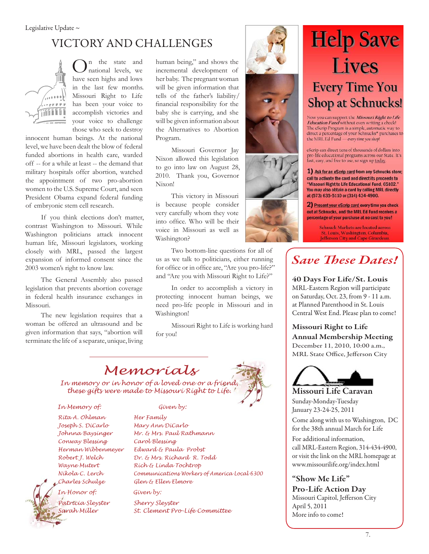## VICTORY AND CHALLENGES



n the state and national levels, we have seen highs and lows in the last few months. Missouri Right to Life has been your voice to accomplish victories and your voice to challenge those who seek to destroy

innocent human beings. At the national level, we have been dealt the blow of federal funded abortions in health care, warded off -- for a while at least -- the demand that military hospitals offer abortion, watched the appointment of two pro-abortion women to the U.S. Supreme Court, and seen President Obama expand federal funding of embryonic stem cell research.

If you think elections don't matter, contrast Washington to Missouri. While Washington politicians attack innocent human life, Missouri legislators, working closely with MRL, passed the largest expansion of informed consent since the 2003 women's right to know law.

The General Assembly also passed legislation that prevents abortion coverage in federal health insurance exchanges in Missouri.

The new legislation requires that a woman be offered an ultrasound and be given information that says, "abortion will terminate the life of a separate, unique, living human being," and shows the incremental development of her baby. The pregnant woman will be given information that tells of the father's liability/ financial responsibility for the baby she is carrying, and she will be given information about the Alternatives to Abortion Program.

Missouri Governor Jay Nixon allowed this legislation to go into law on August 28, 2010. Thank you, Governor Nixon!

This victory in Missouri is because people consider very carefully whom they vote into office. Who will be their voice in Missouri as well as Washington?

Two bottom-line questions for all of us as we talk to politicians, either running for office or in office are, "Are you pro-life?" and "Are you with Missouri Right to Life?"

In order to accomplish a victory in protecting innocent human beings, we need pro-life people in Missouri and in Washington!

Missouri Right to Life is working hard for you!



*In memory or in honor of a loved one or a friend, these gifts were made to Missouri Right to Life.* 

*In Memory of: Given by: Rita A. Ohlman Her Family Joseph S. DiCarlo Mary Ann DiCarlo Conway Blessing Carol Blessing Charles Schulze Glen & Ellen Elmore In Honor of: Given by: Patricia Sleyster Sherry Sleyster*

*Johnna Baysinger Mr. & Mrs. Paul Rathmann Herman Wibbenmeyer Edward & Paula Probst Robert J. Welch Dr. & Mrs. Richard R. Todd Wayne Mutert Rich & Linda Tochtrop Nikola C. Lerch Communications Workers of America Local 6300 Sarah Miller St. Clement Pro-Life Committee*



# **Help Save Lives Every Time You Shop at Schnucks!**

Now you can support the Missouri Right to Life *Education Fund* without even writing a check!<br>The eScrip Program is a simple, automatic way to direct a percentage of your Schnucks\* purchases to the MRI. Ed Fund - every time you shop!

eScrip can direct tens of thousands of dollars into pro-life educational programs across our State. It's fast, easy, and free to use, so sign up today.

1) Ask for an eScrip card from any Schnucks store; call to activate the card and direct its proceeds to "Missouri Right to Life Educational Fund, 65102." You may also obtain a card by calling MRL directly at (573) 635-5110 or (314) 434-4900.

2) Present your eScrip card every time you check out at Schnucks, and the MRL Ed Fund receives a percentage of your purchase at no cost to you!

> **Schnuck Markets are located across** St. Louis, Washington, Columbia, Jefferson City and Cape Girardeau.

## *Save These Dates!*

40 Days For Life/St. Louis MRL-Eastern Region will participate on Saturday, Oct. 23, from 9 - 11 a.m. at Planned Parenthood in St. Louis

Central West End. Please plan to come!

Missouri Right to Life Annual Membership Meeting December 11, 2010, 10:00 a.m., MRL State Office, Jefferson City



Missouri Life Caravan Sunday-Monday-Tuesday January 23-24-25, 2011

Come along with us to Washington, DC for the 38th annual March for Life

For additional information, call MRL-Eastern Region, 314-434-4900, or visit the link on the MRL homepage at www.missourilife.org/index.html

"Show Me Life" Pro-Life Action Day Missouri Capitol, Jefferson City April 5, 2011 More info to come!